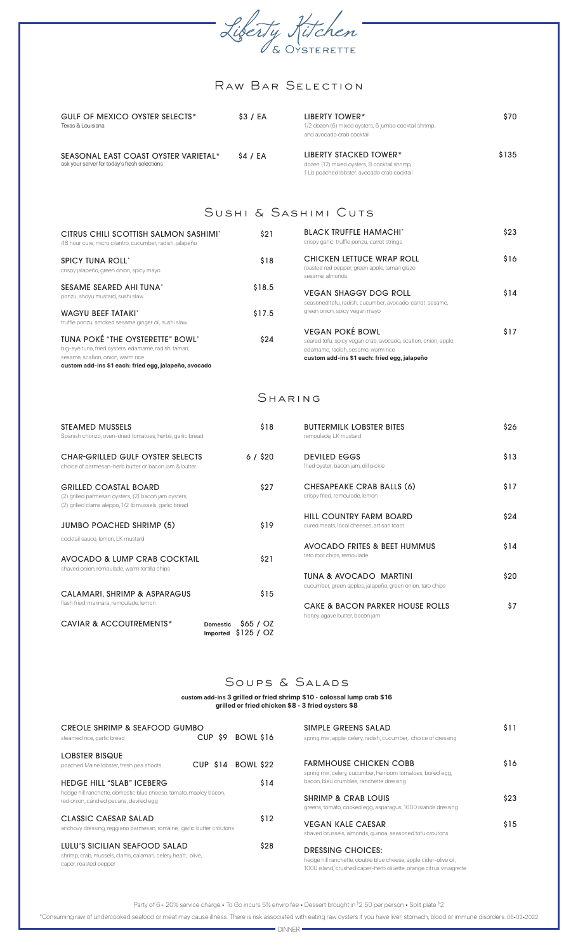

# Raw Bar Selection

| GULF OF MEXICO OYSTER SELECTS*<br>Texas & Louisiana                                  | \$3 / EA | LIBERTY TOWER*<br>1/2 dozen (6) mixed oysters, 5 jumbo cocktail shrimp,<br>and avocado crab cocktail                  | \$70  |
|--------------------------------------------------------------------------------------|----------|-----------------------------------------------------------------------------------------------------------------------|-------|
| SEASONAL EAST COAST OYSTER VARIETAL*<br>ask your server for today's fresh selections | \$4 / EA | LIBERTY STACKED TOWER*<br>dozen (12) mixed oysters, 8 cocktail shrimp,<br>1 Lb poached lobster, avocado crab cocktail | \$135 |

## Sushi & Sashimi Cuts

| CITRUS CHILI SCOTTISH SALMON SASHIMI*<br>48 hour cure, micro cilantro, cucumber, radish, jalapeño                                                                                        | \$21   | <b>BLACK TRUFFLE HAMACHI*</b><br>crispy garlic, truffle ponzu, carrot strings                                                                                                   | \$23 |
|------------------------------------------------------------------------------------------------------------------------------------------------------------------------------------------|--------|---------------------------------------------------------------------------------------------------------------------------------------------------------------------------------|------|
| <b>SPICY TUNA ROLL'</b><br>crispy jalapeño, green onion, spicy mayo                                                                                                                      | \$18   | CHICKEN LETTUCE WRAP ROLL<br>roasted red pepper, green apple, tamari glaze<br>sesame, almonds                                                                                   | \$16 |
| SESAME SEARED AHI TUNA*<br>ponzu, shoyu mustard, sushi slaw                                                                                                                              | \$18.5 | <b>VEGAN SHAGGY DOG ROLL</b><br>seasoned tofu, radish, cucumber, avocado, carrot, sesame,                                                                                       | \$14 |
| <b>WAGYU BEEF TATAKI'</b><br>truffle ponzu, smoked sesame ginger oil, sushi slaw                                                                                                         | \$17.5 | green onion, spicy vegan mayo                                                                                                                                                   |      |
| TUNA POKÉ "THE OYSTERETTE" BOWL"<br>big-eye tuna, fried oysters, edamame, radish, tamari,<br>sesame, scallion, onion, warm rice<br>custom add-ins \$1 each: fried egg, jalapeño, avocado | \$24   | <b>VEGAN POKÉ BOWL</b><br>seared tofu, spicy vegan crab, avocado, scallion, onion, apple,<br>edamame, radish, sesame, warm rice<br>custom add-ins \$1 each: fried egg, jalapeño | \$17 |

#### Sharing

| STEAMED MUSSELS<br>Spanish chorizo, oven-dried tomatoes, herbs, garlic bread                                                                   | \$18                                               | <b>BUTTERMILK LOBSTER BITES</b><br>remoulade. LK mustard                            | \$26 |
|------------------------------------------------------------------------------------------------------------------------------------------------|----------------------------------------------------|-------------------------------------------------------------------------------------|------|
| <b>CHAR-GRILLED GULF OYSTER SELECTS</b><br>choice of parmesan-herb butter or bacon jam & butter                                                | $6/$ \$20                                          | <b>DEVILED EGGS</b><br>fried oyster, bacon jam, dill pickle                         | \$13 |
| <b>GRILLED COASTAL BOARD</b><br>(2) grilled parmesan oysters, (2) bacon jam oysters,<br>(2) grilled clams aleppo, 1/2 lb mussels, garlic bread | \$27                                               | CHESAPEAKE CRAB BALLS (6)<br>crispy fried, remoulade, lemon                         | \$17 |
| <b>JUMBO POACHED SHRIMP (5)</b>                                                                                                                | \$19                                               | HILL COUNTRY FARM BOARD<br>cured meats, local cheeses, artisan toast                | \$24 |
| cocktail sauce, lemon, LK mustard                                                                                                              |                                                    | AVOCADO FRITES & BEET HUMMUS                                                        | \$14 |
| AVOCADO & LUMP CRAB COCKTAIL<br>shaved onion, remoulade, warm tortilla chips                                                                   | \$21                                               | taro root chips, remoulade                                                          |      |
|                                                                                                                                                |                                                    | TUNA & AVOCADO MARTINI<br>cucumber, green apples, jalapeño, green onion, taro chips | \$20 |
| CALAMARI, SHRIMP & ASPARAGUS<br>flash fried, marinara, remoulade, lemon                                                                        | \$15                                               | CAKE & BACON PARKER HOUSE ROLLS                                                     | \$7  |
| CAVIAR & ACCOUTREMENTS*                                                                                                                        | \$65/02<br><b>Domestic</b><br>Imported $$125 / OZ$ | honey agave butter, bacon jam                                                       |      |

#### Soups & SALADS

**custom add-ins 3 grilled or fried shrimp \$10** • **colossal lump crab \$16 grilled or fried chicken \$8** • **3 fried oysters \$8**

| CREOLE SHRIMP & SEAFOOD GUMBO<br>steamed rice, garlic bread                                                            | CUP \$9    | BOWL \$16 | SIMPLE GREENS SALAD<br>spring mix, apple, celery, radish, cucumber, choice of dressing                                                                       | \$11 |
|------------------------------------------------------------------------------------------------------------------------|------------|-----------|--------------------------------------------------------------------------------------------------------------------------------------------------------------|------|
| LOBSTER BISQUE<br>poached Maine lobster, fresh pea shoots                                                              | $CUP$ \$14 | BOWL \$22 | <b>FARMHOUSE CHICKEN COBB</b><br>spring mix, celery, cucumber, heirloom tomatoes, boiled egg,                                                                | \$16 |
| <b>HEDGE HILL "SLAB" ICEBERG</b>                                                                                       |            | \$14      | bacon, bleu crumbles, ranchette dressing                                                                                                                     |      |
| hedge hill ranchette, domestic blue cheese, tomato, mapley bacon,<br>red onion, candied pecans, deviled egg            |            |           | <b>SHRIMP &amp; CRAB LOUIS</b><br>greens, tomato, cooked egg, asparagus, 1000 islands dressing                                                               | \$23 |
| CLASSIC CAESAR SALAD<br>anchovy dressing, reggiano parmesan, romaine, garlic butter croutons                           |            | \$12      | <b>VEGAN KALE CAESAR</b><br>shaved brussels, almonds, quinoa, seasoned tofu croutons                                                                         | \$15 |
| LULU'S SICILIAN SEAFOOD SALAD<br>shrimp, crab, mussels, clams, calamari, celery heart, olive,<br>caper, roasted pepper |            | \$28      | DRESSING CHOICES:<br>hedge hill ranchette, double blue cheese, apple cider-olive oil,<br>1000 island, crushed caper-herb olivette, orange citrus vinaigrette |      |

Party of 6+ 20% service charge • To Go incurs 5% enviro fee • Dessert brought in \$2.50 per person • Split plate \$2

\*Consuming raw of undercooked seafood or meat may cause illness. There is risk associated with eating raw oysters if you have liver, stomach, blood or immune disorders. 06•02•2022